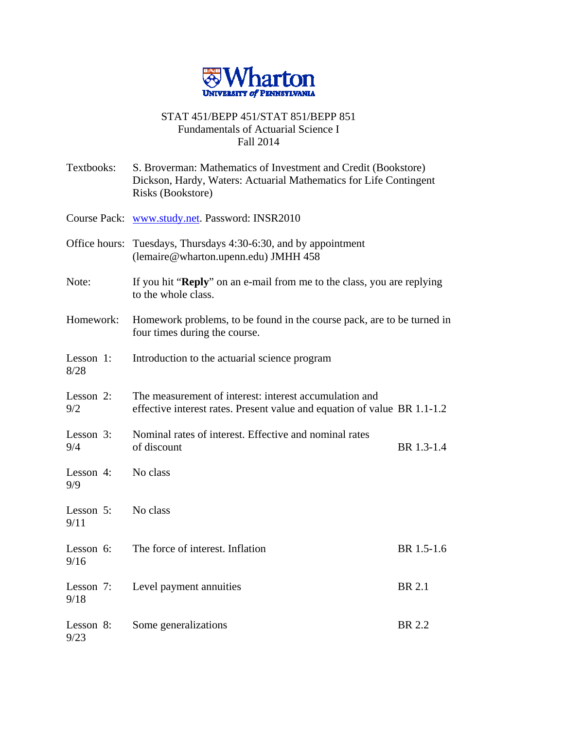

## STAT 451/BEPP 451/STAT 851/BEPP 851 Fundamentals of Actuarial Science I Fall 2014

| Textbooks:        | S. Broverman: Mathematics of Investment and Credit (Bookstore)<br>Dickson, Hardy, Waters: Actuarial Mathematics for Life Contingent<br>Risks (Bookstore) |            |
|-------------------|----------------------------------------------------------------------------------------------------------------------------------------------------------|------------|
|                   | Course Pack: www.study.net. Password: INSR2010                                                                                                           |            |
|                   | Office hours: Tuesdays, Thursdays 4:30-6:30, and by appointment<br>(lemaire@wharton.upenn.edu) JMHH 458                                                  |            |
| Note:             | If you hit " <b>Reply</b> " on an e-mail from me to the class, you are replying<br>to the whole class.                                                   |            |
| Homework:         | Homework problems, to be found in the course pack, are to be turned in<br>four times during the course.                                                  |            |
| Lesson 1:<br>8/28 | Introduction to the actuarial science program                                                                                                            |            |
| Lesson 2:<br>9/2  | The measurement of interest: interest accumulation and<br>effective interest rates. Present value and equation of value BR 1.1-1.2                       |            |
| Lesson 3:<br>9/4  | Nominal rates of interest. Effective and nominal rates<br>of discount                                                                                    | BR 1.3-1.4 |
| Lesson 4:<br>9/9  | No class                                                                                                                                                 |            |
| Lesson 5:<br>9/11 | No class                                                                                                                                                 |            |
| Lesson 6:<br>9/16 | The force of interest. Inflation                                                                                                                         | BR 1.5-1.6 |
| Lesson 7:<br>9/18 | Level payment annuities                                                                                                                                  | BR 2.1     |
| Lesson 8:<br>9/23 | Some generalizations                                                                                                                                     | BR 2.2     |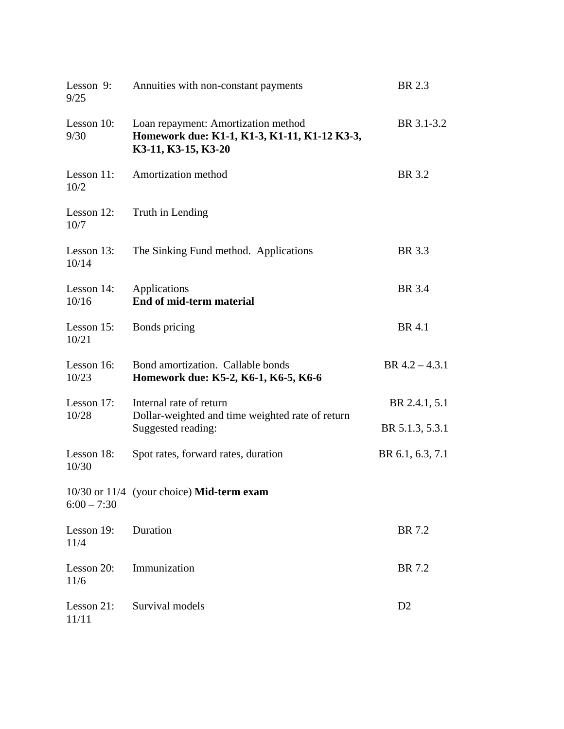| Lesson 9:<br>9/25   | Annuities with non-constant payments                                                                       | BR 2.3           |
|---------------------|------------------------------------------------------------------------------------------------------------|------------------|
| Lesson 10:<br>9/30  | Loan repayment: Amortization method<br>Homework due: K1-1, K1-3, K1-11, K1-12 K3-3,<br>K3-11, K3-15, K3-20 | BR 3.1-3.2       |
| Lesson 11:<br>10/2  | Amortization method                                                                                        | BR 3.2           |
| Lesson 12:<br>10/7  | Truth in Lending                                                                                           |                  |
| Lesson 13:<br>10/14 | The Sinking Fund method. Applications                                                                      | BR 3.3           |
| Lesson 14:<br>10/16 | Applications<br>End of mid-term material                                                                   | <b>BR</b> 3.4    |
| Lesson 15:<br>10/21 | Bonds pricing                                                                                              | <b>BR</b> 4.1    |
| Lesson 16:<br>10/23 | Bond amortization. Callable bonds<br>Homework due: K5-2, K6-1, K6-5, K6-6                                  | BR $4.2 - 4.3.1$ |
| Lesson 17:<br>10/28 | Internal rate of return<br>Dollar-weighted and time weighted rate of return<br>Suggested reading:          | BR 2.4.1, 5.1    |
|                     |                                                                                                            | BR 5.1.3, 5.3.1  |
| Lesson 18:<br>10/30 | Spot rates, forward rates, duration                                                                        | BR 6.1, 6.3, 7.1 |
| $6:00 - 7:30$       | 10/30 or 11/4 (your choice) Mid-term exam                                                                  |                  |
| Lesson 19:<br>11/4  | Duration                                                                                                   | BR 7.2           |
| Lesson 20:<br>11/6  | Immunization                                                                                               | BR 7.2           |
| Lesson 21:<br>11/11 | Survival models                                                                                            | D2               |